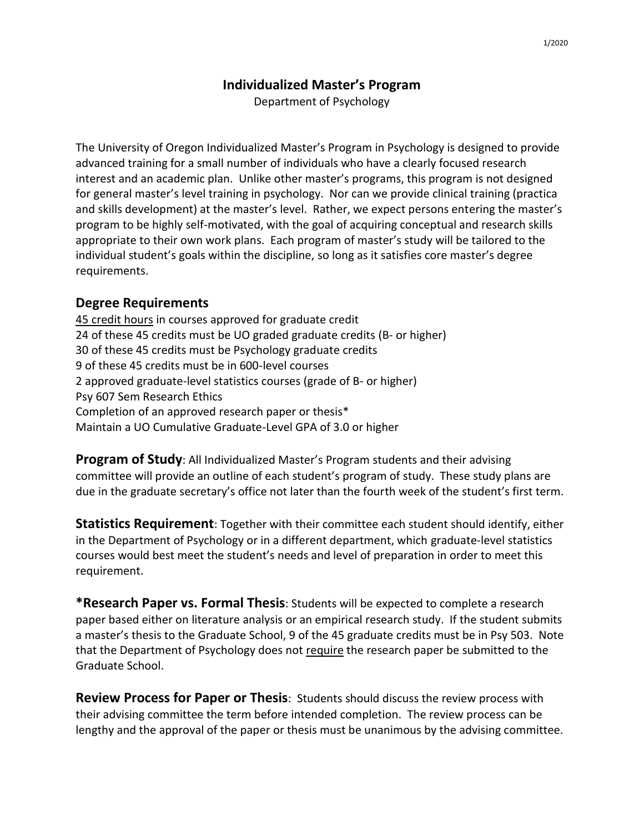## **Individualized Master's Program**

Department of Psychology

The University of Oregon Individualized Master's Program in Psychology is designed to provide advanced training for a small number of individuals who have a clearly focused research interest and an academic plan. Unlike other master's programs, this program is not designed for general master's level training in psychology. Nor can we provide clinical training (practica and skills development) at the master's level. Rather, we expect persons entering the master's program to be highly self-motivated, with the goal of acquiring conceptual and research skills appropriate to their own work plans. Each program of master's study will be tailored to the individual student's goals within the discipline, so long as it satisfies core master's degree requirements.

## **Degree Requirements**

45 credit hours in courses approved for graduate credit 24 of these 45 credits must be UO graded graduate credits (B- or higher) 30 of these 45 credits must be Psychology graduate credits 9 of these 45 credits must be in 600-level courses 2 approved graduate-level statistics courses (grade of B- or higher) Psy 607 Sem Research Ethics Completion of an approved research paper or thesis\* Maintain a UO Cumulative Graduate-Level GPA of 3.0 or higher

**Program of Study**: All Individualized Master's Program students and their advising committee will provide an outline of each student's program of study. These study plans are due in the graduate secretary's office not later than the fourth week of the student's first term.

**Statistics Requirement**: Together with their committee each student should identify, either in the Department of Psychology or in a different department, which graduate-level statistics courses would best meet the student's needs and level of preparation in order to meet this requirement.

**\*Research Paper vs. Formal Thesis**: Students will be expected to complete a research paper based either on literature analysis or an empirical research study. If the student submits a master's thesis to the Graduate School, 9 of the 45 graduate credits must be in Psy 503. Note that the Department of Psychology does not require the research paper be submitted to the Graduate School.

**Review Process for Paper or Thesis**: Students should discuss the review process with their advising committee the term before intended completion. The review process can be lengthy and the approval of the paper or thesis must be unanimous by the advising committee.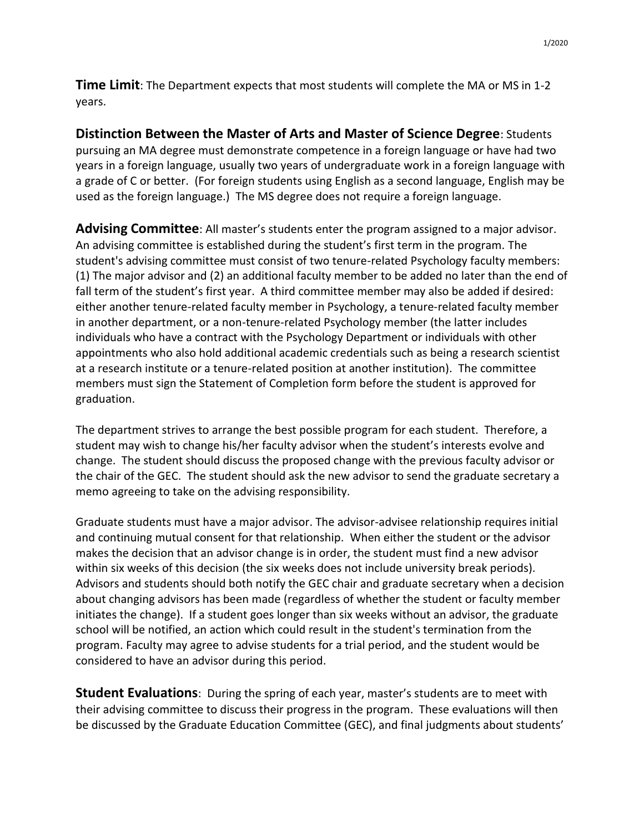**Time Limit**: The Department expects that most students will complete the MA or MS in 1-2 years.

**Distinction Between the Master of Arts and Master of Science Degree**: Students pursuing an MA degree must demonstrate competence in a foreign language or have had two years in a foreign language, usually two years of undergraduate work in a foreign language with a grade of C or better. (For foreign students using English as a second language, English may be used as the foreign language.) The MS degree does not require a foreign language.

**Advising Committee**: All master's students enter the program assigned to a major advisor. An advising committee is established during the student's first term in the program. The student's advising committee must consist of two tenure-related Psychology faculty members: (1) The major advisor and (2) an additional faculty member to be added no later than the end of fall term of the student's first year. A third committee member may also be added if desired: either another tenure-related faculty member in Psychology, a tenure-related faculty member in another department, or a non-tenure-related Psychology member (the latter includes individuals who have a contract with the Psychology Department or individuals with other appointments who also hold additional academic credentials such as being a research scientist at a research institute or a tenure-related position at another institution). The committee members must sign the Statement of Completion form before the student is approved for graduation.

The department strives to arrange the best possible program for each student. Therefore, a student may wish to change his/her faculty advisor when the student's interests evolve and change. The student should discuss the proposed change with the previous faculty advisor or the chair of the GEC. The student should ask the new advisor to send the graduate secretary a memo agreeing to take on the advising responsibility.

Graduate students must have a major advisor. The advisor-advisee relationship requires initial and continuing mutual consent for that relationship. When either the student or the advisor makes the decision that an advisor change is in order, the student must find a new advisor within six weeks of this decision (the six weeks does not include university break periods). Advisors and students should both notify the GEC chair and graduate secretary when a decision about changing advisors has been made (regardless of whether the student or faculty member initiates the change). If a student goes longer than six weeks without an advisor, the graduate school will be notified, an action which could result in the student's termination from the program. Faculty may agree to advise students for a trial period, and the student would be considered to have an advisor during this period.

**Student Evaluations**: During the spring of each year, master's students are to meet with their advising committee to discuss their progress in the program. These evaluations will then be discussed by the Graduate Education Committee (GEC), and final judgments about students'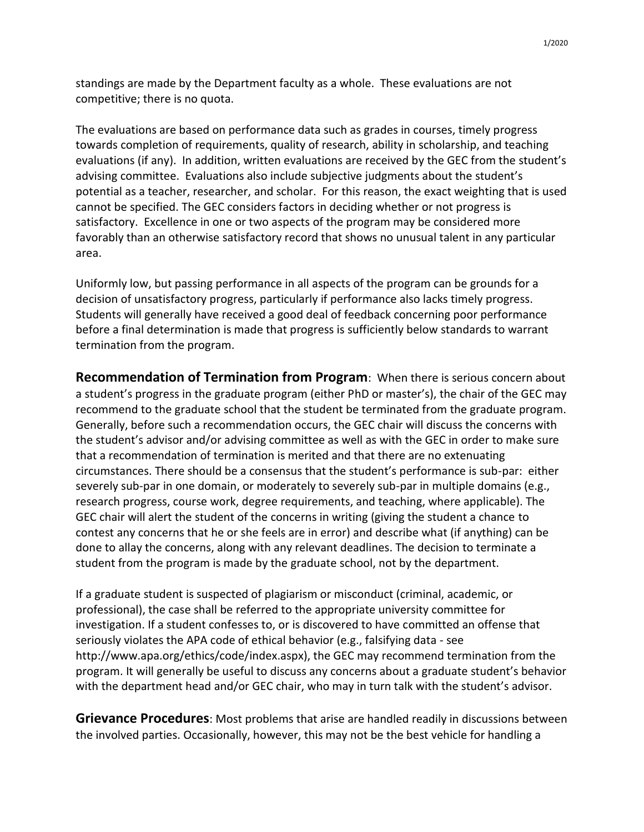standings are made by the Department faculty as a whole. These evaluations are not competitive; there is no quota.

The evaluations are based on performance data such as grades in courses, timely progress towards completion of requirements, quality of research, ability in scholarship, and teaching evaluations (if any). In addition, written evaluations are received by the GEC from the student's advising committee. Evaluations also include subjective judgments about the student's potential as a teacher, researcher, and scholar. For this reason, the exact weighting that is used cannot be specified. The GEC considers factors in deciding whether or not progress is satisfactory. Excellence in one or two aspects of the program may be considered more favorably than an otherwise satisfactory record that shows no unusual talent in any particular area.

Uniformly low, but passing performance in all aspects of the program can be grounds for a decision of unsatisfactory progress, particularly if performance also lacks timely progress. Students will generally have received a good deal of feedback concerning poor performance before a final determination is made that progress is sufficiently below standards to warrant termination from the program.

**Recommendation of Termination from Program**: When there is serious concern about a student's progress in the graduate program (either PhD or master's), the chair of the GEC may recommend to the graduate school that the student be terminated from the graduate program. Generally, before such a recommendation occurs, the GEC chair will discuss the concerns with the student's advisor and/or advising committee as well as with the GEC in order to make sure that a recommendation of termination is merited and that there are no extenuating circumstances. There should be a consensus that the student's performance is sub-par: either severely sub-par in one domain, or moderately to severely sub-par in multiple domains (e.g., research progress, course work, degree requirements, and teaching, where applicable). The GEC chair will alert the student of the concerns in writing (giving the student a chance to contest any concerns that he or she feels are in error) and describe what (if anything) can be done to allay the concerns, along with any relevant deadlines. The decision to terminate a student from the program is made by the graduate school, not by the department.

If a graduate student is suspected of plagiarism or misconduct (criminal, academic, or professional), the case shall be referred to the appropriate university committee for investigation. If a student confesses to, or is discovered to have committed an offense that seriously violates the APA code of ethical behavior (e.g., falsifying data - see http://www.apa.org/ethics/code/index.aspx), the GEC may recommend termination from the program. It will generally be useful to discuss any concerns about a graduate student's behavior with the department head and/or GEC chair, who may in turn talk with the student's advisor.

**Grievance Procedures**: Most problems that arise are handled readily in discussions between the involved parties. Occasionally, however, this may not be the best vehicle for handling a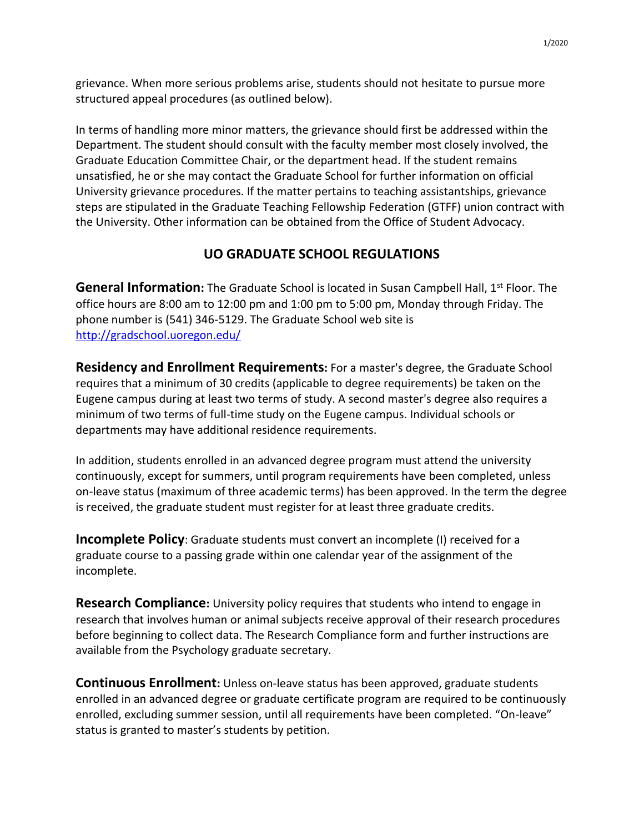grievance. When more serious problems arise, students should not hesitate to pursue more structured appeal procedures (as outlined below).

In terms of handling more minor matters, the grievance should first be addressed within the Department. The student should consult with the faculty member most closely involved, the Graduate Education Committee Chair, or the department head. If the student remains unsatisfied, he or she may contact the Graduate School for further information on official University grievance procedures. If the matter pertains to teaching assistantships, grievance steps are stipulated in the Graduate Teaching Fellowship Federation (GTFF) union contract with the University. Other information can be obtained from the Office of Student Advocacy.

## **UO GRADUATE SCHOOL REGULATIONS**

**General Information:** The Graduate School is located in Susan Campbell Hall, 1<sup>st</sup> Floor. The office hours are 8:00 am to 12:00 pm and 1:00 pm to 5:00 pm, Monday through Friday. The phone number is (541) 346-5129. The Graduate School web site is <http://gradschool.uoregon.edu/>

**Residency and Enrollment Requirements:** For a master's degree, the Graduate School requires that a minimum of 30 credits (applicable to degree requirements) be taken on the Eugene campus during at least two terms of study. A second master's degree also requires a minimum of two terms of full-time study on the Eugene campus. Individual schools or departments may have additional residence requirements.

In addition, students enrolled in an advanced degree program must attend the university continuously, except for summers, until program requirements have been completed, unless on-leave status (maximum of three academic terms) has been approved. In the term the degree is received, the graduate student must register for at least three graduate credits.

**Incomplete Policy**: Graduate students must convert an incomplete (I) received for a graduate course to a passing grade within one calendar year of the assignment of the incomplete.

**Research Compliance:** University policy requires that students who intend to engage in research that involves human or animal subjects receive approval of their research procedures before beginning to collect data. The Research Compliance form and further instructions are available from the Psychology graduate secretary.

**Continuous Enrollment:** Unless on-leave status has been approved, graduate students enrolled in an advanced degree or graduate certificate program are required to be continuously enrolled, excluding summer session, until all requirements have been completed. "On-leave" status is granted to master's students by petition.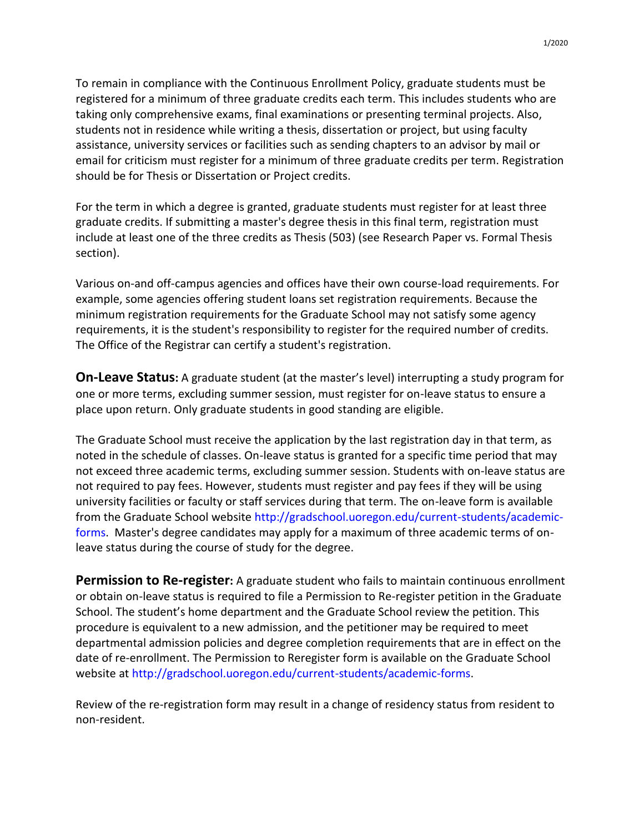1/2020

To remain in compliance with the Continuous Enrollment Policy, graduate students must be registered for a minimum of three graduate credits each term. This includes students who are taking only comprehensive exams, final examinations or presenting terminal projects. Also, students not in residence while writing a thesis, dissertation or project, but using faculty assistance, university services or facilities such as sending chapters to an advisor by mail or email for criticism must register for a minimum of three graduate credits per term. Registration should be for Thesis or Dissertation or Project credits.

For the term in which a degree is granted, graduate students must register for at least three graduate credits. If submitting a master's degree thesis in this final term, registration must include at least one of the three credits as Thesis (503) (see Research Paper vs. Formal Thesis section).

Various on-and off-campus agencies and offices have their own course-load requirements. For example, some agencies offering student loans set registration requirements. Because the minimum registration requirements for the Graduate School may not satisfy some agency requirements, it is the student's responsibility to register for the required number of credits. The Office of the Registrar can certify a student's registration.

**On-Leave Status:** A graduate student (at the master's level) interrupting a study program for one or more terms, excluding summer session, must register for on-leave status to ensure a place upon return. Only graduate students in good standing are eligible.

The Graduate School must receive the application by the last registration day in that term, as noted in the schedule of classes. On-leave status is granted for a specific time period that may not exceed three academic terms, excluding summer session. Students with on-leave status are not required to pay fees. However, students must register and pay fees if they will be using university facilities or faculty or staff services during that term. The on-leave form is available from the Graduate School website [http://gradschool.uoregon.edu/current-students/academic](http://gradschool.uoregon.edu/current-students/academic-forms)[forms.](http://gradschool.uoregon.edu/current-students/academic-forms) Master's degree candidates may apply for a maximum of three academic terms of onleave status during the course of study for the degree.

**Permission to Re-register:** A graduate student who fails to maintain continuous enrollment or obtain on-leave status is required to file a Permission to Re-register petition in the Graduate School. The student's home department and the Graduate School review the petition. This procedure is equivalent to a new admission, and the petitioner may be required to meet departmental admission policies and degree completion requirements that are in effect on the date of re-enrollment. The Permission to Reregister form is available on the Graduate School website at [http://gradschool.uoregon.edu/current-students/academic-forms.](http://gradschool.uoregon.edu/current-students/academic-forms)

Review of the re-registration form may result in a change of residency status from resident to non-resident.